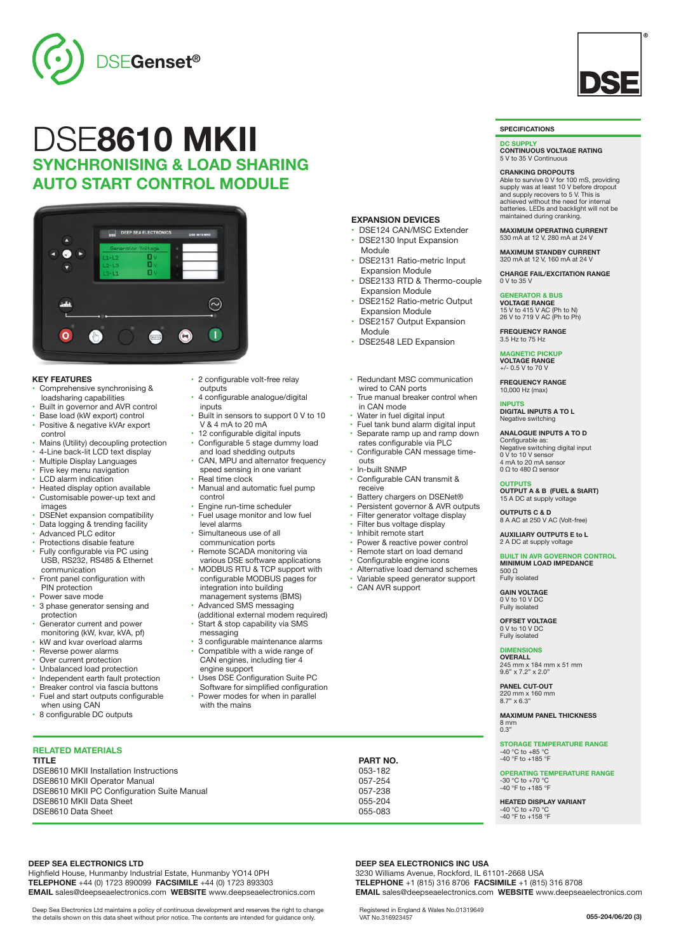

# DSE**8610 MKII SYNCHRONISING & LOAD SHARING AUTO START CONTROL MODULE**

• 2 configurable volt-free relay

 V & 4 mA to 20 mA 12 configurable digital inputs • Configurable 5 stage dummy load and load shedding outputs CAN, MPU and alternator frequency speed sensing in one variant

**Real time clock** 

 level alarms • Simultaneous use of all communication ports Remote SCADA monitoring via various DSE software applications • MODBUS RTU & TCP support with configurable MODBUS pages for integration into building management systems (BMS) • Advanced SMS messaging (additional external modem required) • Start & stop capability via SMS

messaging

engine support

with the mains

control

• 4 configurable analogue/digital

• Manual and automatic fuel pump

• 3 configurable maintenance alarms • Compatible with a wide range of CAN engines, including tier 4

• Uses DSE Configuration Suite PC Software for simplified configuration Power modes for when in parallel

• Engine run-time scheduler • Fuel usage monitor and low fuel

Built in sensors to support 0 V to 10

outputs

inputs



### **KEY FEATURES**

- Comprehensive synchronising & loadsharing capabilities
- Built in governor and AVR control Base load (kW export) control
- Positive & negative kVAr export control
- Mains (Utility) decoupling protection
- 4-Line back-lit LCD text display
- Multiple Display Languages
- Five key menu navigation
- LCD alarm indication
- Heated display option available • Customisable power-up text and
- images
- DSENet expansion compatibility **Data logging & trending facility**
- Advanced PLC editor
- Protections disable feature
- Fully configurable via PC using USB, RS232, RS485 & Ethernet communication
- Front panel configuration with PIN protection
- Power save mode
- 3 phase generator sensing and protection
- Generator current and power monitoring (kW, kvar, kVA, pf)
- kW and kvar overload alarms Reverse power alarms
- Over current protection
- 
- Unbalanced load protection<br>• Independent earth fault prot • Independent earth fault protection
- Breaker control via fascia buttons
- Fuel and start outputs configurable when using CAN
- 8 configurable DC outputs
- **RELATED MATERIALS**
- **TITLE PART NO.** DSE8610 MKII Installation Instructions<br>
DSE8610 MKII Operator Manual<br>
057-254 DSE8610 MKII Operator Manual 2008 100 057-254<br>DSE8610 MKII PC Configuration Suite Manual 2008 2008 2009 1057-238 PSE8610 MKII PC Configuration Suite Manual<br>DSE8610 MKII Data Sheet<br>DSE8610 MKII Data Sheet DSE8610 MKII Data Sheet 055-204<br>DSE8610 Data Sheet 055-204 DSE8610 Data Sheet

# **DEEP SEA ELECTRONICS LTD**

Highfield House, Hunmanby Industrial Estate, Hunmanby YO14 0PH **TELEPHONE** +44 (0) 1723 890099 **FACSIMILE** +44 (0) 1723 893303 **EMAIL** sales@deepseaelectronics.com **WEBSITE** www.deepseaelectronics.com

Deep Sea Electronics Ltd maintains a policy of continuous development and reserves the right to change the details shown on this data sheet without prior notice. The contents are intended for guidance only.

## **EXPANSION DEVICES**

- DSE124 CAN/MSC Extender • DSE2130 Input Expansion
- DSE2131 Ratio-metric Input
- DSE2133 RTD & Thermo-couple Expansion Module
- DSE2152 Ratio-metric Output
- DSE2157 Output Expansion
- DSE2548 LED Expansion

- True manual breaker control when in CAN mode
- Water in fuel digital input
- Fuel tank bund alarm digital input Separate ramp up and ramp down
- rates configurable via PLC • Configurable CAN message time outs
- In-built SNMP
- Configurable CAN transmit &
- receive Battery chargers on DSENet®
- Persistent governor & AVR outputs
- Filter generator voltage display
- Filter bus voltage display
- Inhibit remote start
- Power & reactive power control
- Remote start on load demand
- Configurable engine icons
- Alternative load demand schemes
- Variable speed generator support
- CAN AVR support

**GAIN VOLTAGE** 0 V to 10 V DC Fully isolated

500 Ω Fully isolated

**OFFSET VOLTAGE** 0 V to 10 V DC Fully isolated

# **DIMENSIONS**

**OVERALL** 245 mm x 184 mm x 51 mm 9.6" x 7.2" x 2.0"

**PANEL CUT-OUT** 220 mm x 160 mm 8.7" x 6.3"

**MAXIMUM PANEL THICKNESS** 8 mm 0.3"

**STORAGE TEMPERATURE RANGE** -40 °C to +85 °C -40 °F to +185 °F

**OPERATING TEMPERATURE RANGE** -30 °C to +70 °C -40 °F to +185 °F

**HEATED DISPLAY VARIANT** -40 °C to +70 °C -40 °F to +158 °F

**DEEP SEA ELECTRONICS INC USA** 3230 Williams Avenue, Rockford, IL 61101-2668 USA **TELEPHONE** +1 (815) 316 8706 **FACSIMILE** +1 (815) 316 8708 **EMAIL** sales@deepseaelectronics.com **WEBSITE** www.deepseaelectronics.com

Registered in England & Wales No.01319649 VAT No.316923457



**SPECIFICATIONS**

0 V to 35 V

**GENERATOR & BUS VOLTAGE RANGE** 15 V to 415 V AC (Ph to N) 26 V to 719 V AC (Ph to Ph) **FREQUENCY RANGE** 3.5 Hz to 75 Hz **MAGNETIC PICKUP VOLTAGE RANGE** +/- 0.5 V to 70 V **FREQUENCY RANGE** 10,000 Hz (max)

**INPUTS DIGITAL INPUTS A TO L** Negative switching **ANALOGUE INPUTS A TO D** Configurable as: Negative switching digital input 0 V to 10 V sensor 4 mA to 20 mA sensor 0 Ω to 480 Ω sensor

**OUTPUTS OUTPUT A & B (FUEL & StART)** 15 A DC at supply voltage

**BUILT IN AVR GOVERNOR CONTROL MINIMUM LOAD IMPEDANCE**

**OUTPUTS C & D** 8 A AC at 250 V AC (Volt-free) **AUXILIARY OUTPUTS E to L** 2 A DC at supply voltage

**DC SUPPLY CONTINUOUS VOLTAGE RATING** 5 V to 35 V Continuous **CRANKING DROPOUTS**

Able to survive 0 V for 100 mS, providing supply was at least 10 V before dropout and supply recovers to 5 V. This is achieved without the need for internal batteries. LEDs and backlight will not be maintained during cranking.

**MAXIMUM OPERATING CURRENT** 530 mA at 12 V, 280 mA at 24 V **MAXIMUM STANDBY CURRENT** 320 mA at 12 V, 160 mA at 24 V **CHARGE FAIL/EXCITATION RANGE**

- Module
- Expansion Module
- 
- Expansion Module
- Module
- 

• Redundant MSC communication wired to CAN ports